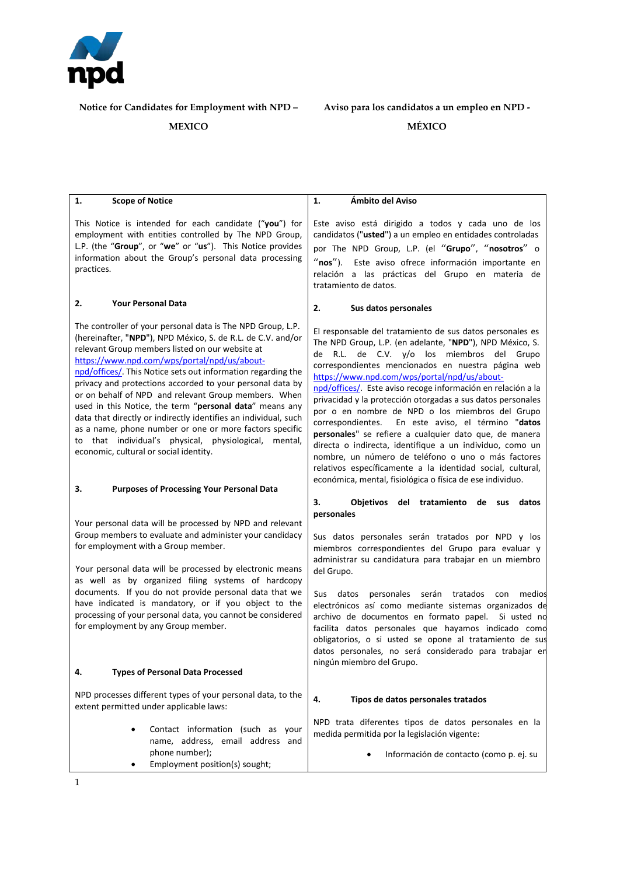

# **Notice for Candidates for Employment with NPD –**

### **MEXICO**

# **Aviso para los candidatos a un empleo en NPD -**

## **MÉXICO**

| <b>Scope of Notice</b><br>This Notice is intended for each candidate ("you") for<br>Este aviso está dirigido a todos y cada uno de los<br>candidatos ("usted") a un empleo en entidades controladas<br>employment with entities controlled by The NPD Group,<br>L.P. (the "Group", or "we" or "us"). This Notice provides<br>por The NPD Group, L.P. (el "Grupo", "nosotros" o<br>information about the Group's personal data processing<br>$^{\prime\prime}$ nos $^{\prime\prime}$ ).<br>Este aviso ofrece información importante en<br>practices.<br>relación a las prácticas del Grupo en materia de<br>tratamiento de datos.<br>2.<br><b>Your Personal Data</b><br>2.<br>Sus datos personales<br>The controller of your personal data is The NPD Group, L.P.<br>El responsable del tratamiento de sus datos personales es<br>(hereinafter, "NPD"), NPD México, S. de R.L. de C.V. and/or<br>The NPD Group, L.P. (en adelante, "NPD"), NPD México, S.<br>relevant Group members listed on our website at<br>de R.L. de C.V. y/o los miembros del Grupo<br>https://www.npd.com/wps/portal/npd/us/about-<br>correspondientes mencionados en nuestra página web<br>npd/offices/. This Notice sets out information regarding the<br>https://www.npd.com/wps/portal/npd/us/about-<br>privacy and protections accorded to your personal data by<br>npd/offices/. Este aviso recoge información en relación a la<br>or on behalf of NPD and relevant Group members. When<br>privacidad y la protección otorgadas a sus datos personales<br>used in this Notice, the term "personal data" means any<br>por o en nombre de NPD o los miembros del Grupo<br>data that directly or indirectly identifies an individual, such<br>En este aviso, el término "datos<br>correspondientes.<br>as a name, phone number or one or more factors specific<br>personales" se refiere a cualquier dato que, de manera<br>to that individual's physical, physiological,<br>mental,<br>directa o indirecta, identifique a un individuo, como un<br>economic, cultural or social identity.<br>nombre, un número de teléfono o uno o más factores<br>relativos específicamente a la identidad social, cultural,<br>económica, mental, fisiológica o física de ese individuo.<br><b>Purposes of Processing Your Personal Data</b><br>3.<br>3.<br><b>Objetivos</b><br>del tratamiento<br>de<br>datos<br>sus<br>personales<br>Your personal data will be processed by NPD and relevant<br>Group members to evaluate and administer your candidacy<br>Sus datos personales serán tratados por NPD y los<br>for employment with a Group member.<br>miembros correspondientes del Grupo para evaluar y<br>administrar su candidatura para trabajar en un miembro<br>Your personal data will be processed by electronic means<br>del Grupo.<br>as well as by organized filing systems of hardcopy<br>documents. If you do not provide personal data that we<br>datos<br>personales serán<br>tratados<br>Sus<br>con<br>medios<br>have indicated is mandatory, or if you object to the<br>electrónicos así como mediante sistemas organizados de |  |  |  |
|------------------------------------------------------------------------------------------------------------------------------------------------------------------------------------------------------------------------------------------------------------------------------------------------------------------------------------------------------------------------------------------------------------------------------------------------------------------------------------------------------------------------------------------------------------------------------------------------------------------------------------------------------------------------------------------------------------------------------------------------------------------------------------------------------------------------------------------------------------------------------------------------------------------------------------------------------------------------------------------------------------------------------------------------------------------------------------------------------------------------------------------------------------------------------------------------------------------------------------------------------------------------------------------------------------------------------------------------------------------------------------------------------------------------------------------------------------------------------------------------------------------------------------------------------------------------------------------------------------------------------------------------------------------------------------------------------------------------------------------------------------------------------------------------------------------------------------------------------------------------------------------------------------------------------------------------------------------------------------------------------------------------------------------------------------------------------------------------------------------------------------------------------------------------------------------------------------------------------------------------------------------------------------------------------------------------------------------------------------------------------------------------------------------------------------------------------------------------------------------------------------------------------------------------------------------------------------------------------------------------------------------------------------------------------------------------------------------------------------------------------------------------------------------------------------------------------------------------------------------------------------------------------------------------------------------------------------------------------------------------------------------------------------------------------------------------------------------------------------------|--|--|--|
|                                                                                                                                                                                                                                                                                                                                                                                                                                                                                                                                                                                                                                                                                                                                                                                                                                                                                                                                                                                                                                                                                                                                                                                                                                                                                                                                                                                                                                                                                                                                                                                                                                                                                                                                                                                                                                                                                                                                                                                                                                                                                                                                                                                                                                                                                                                                                                                                                                                                                                                                                                                                                                                                                                                                                                                                                                                                                                                                                                                                                                                                                                                  |  |  |  |
|                                                                                                                                                                                                                                                                                                                                                                                                                                                                                                                                                                                                                                                                                                                                                                                                                                                                                                                                                                                                                                                                                                                                                                                                                                                                                                                                                                                                                                                                                                                                                                                                                                                                                                                                                                                                                                                                                                                                                                                                                                                                                                                                                                                                                                                                                                                                                                                                                                                                                                                                                                                                                                                                                                                                                                                                                                                                                                                                                                                                                                                                                                                  |  |  |  |
|                                                                                                                                                                                                                                                                                                                                                                                                                                                                                                                                                                                                                                                                                                                                                                                                                                                                                                                                                                                                                                                                                                                                                                                                                                                                                                                                                                                                                                                                                                                                                                                                                                                                                                                                                                                                                                                                                                                                                                                                                                                                                                                                                                                                                                                                                                                                                                                                                                                                                                                                                                                                                                                                                                                                                                                                                                                                                                                                                                                                                                                                                                                  |  |  |  |
|                                                                                                                                                                                                                                                                                                                                                                                                                                                                                                                                                                                                                                                                                                                                                                                                                                                                                                                                                                                                                                                                                                                                                                                                                                                                                                                                                                                                                                                                                                                                                                                                                                                                                                                                                                                                                                                                                                                                                                                                                                                                                                                                                                                                                                                                                                                                                                                                                                                                                                                                                                                                                                                                                                                                                                                                                                                                                                                                                                                                                                                                                                                  |  |  |  |
| processing of your personal data, you cannot be considered<br>archivo de documentos en formato papel. Si usted no<br>for employment by any Group member.<br>facilita datos personales que hayamos indicado como<br>obligatorios, o si usted se opone al tratamiento de sus<br>datos personales, no será considerado para trabajar en<br>ningún miembro del Grupo.                                                                                                                                                                                                                                                                                                                                                                                                                                                                                                                                                                                                                                                                                                                                                                                                                                                                                                                                                                                                                                                                                                                                                                                                                                                                                                                                                                                                                                                                                                                                                                                                                                                                                                                                                                                                                                                                                                                                                                                                                                                                                                                                                                                                                                                                                                                                                                                                                                                                                                                                                                                                                                                                                                                                                |  |  |  |
| <b>Types of Personal Data Processed</b><br>4.                                                                                                                                                                                                                                                                                                                                                                                                                                                                                                                                                                                                                                                                                                                                                                                                                                                                                                                                                                                                                                                                                                                                                                                                                                                                                                                                                                                                                                                                                                                                                                                                                                                                                                                                                                                                                                                                                                                                                                                                                                                                                                                                                                                                                                                                                                                                                                                                                                                                                                                                                                                                                                                                                                                                                                                                                                                                                                                                                                                                                                                                    |  |  |  |
| NPD processes different types of your personal data, to the<br>4.<br>Tipos de datos personales tratados<br>extent permitted under applicable laws:                                                                                                                                                                                                                                                                                                                                                                                                                                                                                                                                                                                                                                                                                                                                                                                                                                                                                                                                                                                                                                                                                                                                                                                                                                                                                                                                                                                                                                                                                                                                                                                                                                                                                                                                                                                                                                                                                                                                                                                                                                                                                                                                                                                                                                                                                                                                                                                                                                                                                                                                                                                                                                                                                                                                                                                                                                                                                                                                                               |  |  |  |
| NPD trata diferentes tipos de datos personales en la<br>Contact information (such as your<br>٠<br>medida permitida por la legislación vigente:<br>name, address, email address and<br>phone number);<br>Información de contacto (como p. ej. su<br>Employment position(s) sought;                                                                                                                                                                                                                                                                                                                                                                                                                                                                                                                                                                                                                                                                                                                                                                                                                                                                                                                                                                                                                                                                                                                                                                                                                                                                                                                                                                                                                                                                                                                                                                                                                                                                                                                                                                                                                                                                                                                                                                                                                                                                                                                                                                                                                                                                                                                                                                                                                                                                                                                                                                                                                                                                                                                                                                                                                                |  |  |  |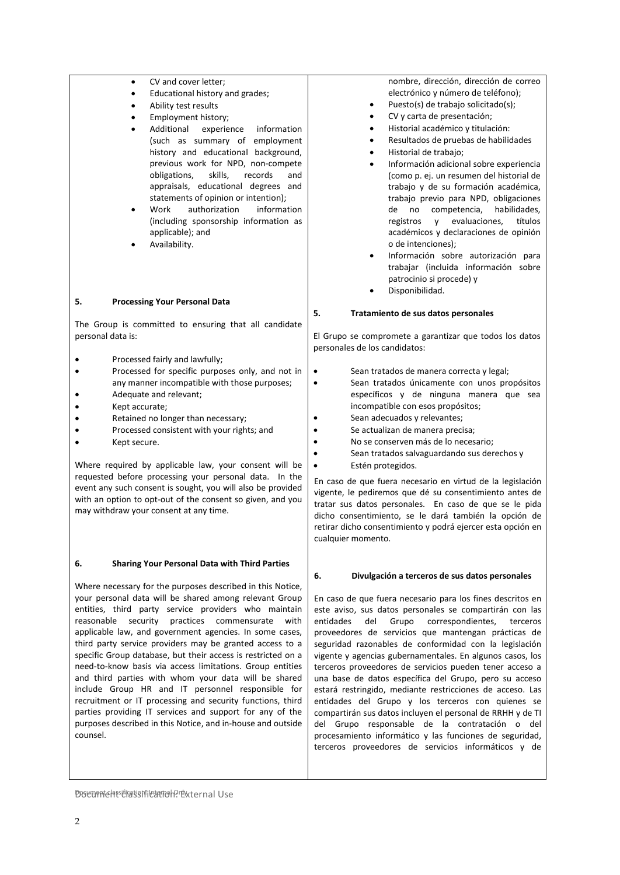|                                                        | CV and cover letter;<br>$\bullet$<br>Educational history and grades;<br>$\bullet$<br>Ability test results<br>$\bullet$<br>Employment history;<br>Additional<br>experience<br>information<br>$\bullet$<br>(such as summary of employment<br>history and educational background,<br>previous work for NPD, non-compete<br>skills,<br>records<br>obligations,<br>and<br>appraisals, educational degrees and<br>statements of opinion or intention);<br>Work<br>authorization<br>information<br>٠<br>(including sponsorship information as<br>applicable); and<br>Availability. |           | nombre, dirección, dirección de correo<br>electrónico y número de teléfono);<br>Puesto(s) de trabajo solicitado(s);<br>٠<br>CV y carta de presentación;<br>$\bullet$<br>Historial académico y titulación:<br>٠<br>Resultados de pruebas de habilidades<br>٠<br>Historial de trabajo;<br>$\bullet$<br>Información adicional sobre experiencia<br>$\bullet$<br>(como p. ej. un resumen del historial de<br>trabajo y de su formación académica,<br>trabajo previo para NPD, obligaciones<br>no<br>competencia,<br>habilidades,<br>de<br>evaluaciones,<br>títulos<br>registros<br>V<br>académicos y declaraciones de opinión<br>o de intenciones);<br>Información sobre autorización para<br>$\bullet$<br>trabajar (incluida información sobre<br>patrocinio si procede) y |
|--------------------------------------------------------|-----------------------------------------------------------------------------------------------------------------------------------------------------------------------------------------------------------------------------------------------------------------------------------------------------------------------------------------------------------------------------------------------------------------------------------------------------------------------------------------------------------------------------------------------------------------------------|-----------|-------------------------------------------------------------------------------------------------------------------------------------------------------------------------------------------------------------------------------------------------------------------------------------------------------------------------------------------------------------------------------------------------------------------------------------------------------------------------------------------------------------------------------------------------------------------------------------------------------------------------------------------------------------------------------------------------------------------------------------------------------------------------|
| 5.                                                     | <b>Processing Your Personal Data</b>                                                                                                                                                                                                                                                                                                                                                                                                                                                                                                                                        |           | Disponibilidad.                                                                                                                                                                                                                                                                                                                                                                                                                                                                                                                                                                                                                                                                                                                                                         |
|                                                        |                                                                                                                                                                                                                                                                                                                                                                                                                                                                                                                                                                             | 5.        | Tratamiento de sus datos personales                                                                                                                                                                                                                                                                                                                                                                                                                                                                                                                                                                                                                                                                                                                                     |
| The Group is committed to ensuring that all candidate  |                                                                                                                                                                                                                                                                                                                                                                                                                                                                                                                                                                             |           |                                                                                                                                                                                                                                                                                                                                                                                                                                                                                                                                                                                                                                                                                                                                                                         |
| personal data is:                                      |                                                                                                                                                                                                                                                                                                                                                                                                                                                                                                                                                                             |           | El Grupo se compromete a garantizar que todos los datos<br>personales de los candidatos:                                                                                                                                                                                                                                                                                                                                                                                                                                                                                                                                                                                                                                                                                |
| $\bullet$                                              | Processed fairly and lawfully;                                                                                                                                                                                                                                                                                                                                                                                                                                                                                                                                              |           |                                                                                                                                                                                                                                                                                                                                                                                                                                                                                                                                                                                                                                                                                                                                                                         |
| $\bullet$                                              | Processed for specific purposes only, and not in                                                                                                                                                                                                                                                                                                                                                                                                                                                                                                                            | $\bullet$ | Sean tratados de manera correcta y legal;                                                                                                                                                                                                                                                                                                                                                                                                                                                                                                                                                                                                                                                                                                                               |
| $\bullet$                                              | any manner incompatible with those purposes;<br>Adequate and relevant;                                                                                                                                                                                                                                                                                                                                                                                                                                                                                                      | $\bullet$ | Sean tratados únicamente con unos propósitos                                                                                                                                                                                                                                                                                                                                                                                                                                                                                                                                                                                                                                                                                                                            |
| ٠                                                      | Kept accurate;                                                                                                                                                                                                                                                                                                                                                                                                                                                                                                                                                              |           | específicos y de ninguna manera que sea<br>incompatible con esos propósitos;                                                                                                                                                                                                                                                                                                                                                                                                                                                                                                                                                                                                                                                                                            |
|                                                        | Retained no longer than necessary;                                                                                                                                                                                                                                                                                                                                                                                                                                                                                                                                          |           | Sean adecuados y relevantes;                                                                                                                                                                                                                                                                                                                                                                                                                                                                                                                                                                                                                                                                                                                                            |
|                                                        | Processed consistent with your rights; and                                                                                                                                                                                                                                                                                                                                                                                                                                                                                                                                  |           | Se actualizan de manera precisa;                                                                                                                                                                                                                                                                                                                                                                                                                                                                                                                                                                                                                                                                                                                                        |
|                                                        | Kept secure.                                                                                                                                                                                                                                                                                                                                                                                                                                                                                                                                                                | ٠         | No se conserven más de lo necesario;                                                                                                                                                                                                                                                                                                                                                                                                                                                                                                                                                                                                                                                                                                                                    |
|                                                        |                                                                                                                                                                                                                                                                                                                                                                                                                                                                                                                                                                             | $\bullet$ | Sean tratados salvaguardando sus derechos y                                                                                                                                                                                                                                                                                                                                                                                                                                                                                                                                                                                                                                                                                                                             |
| Where required by applicable law, your consent will be |                                                                                                                                                                                                                                                                                                                                                                                                                                                                                                                                                                             |           | Estén protegidos.                                                                                                                                                                                                                                                                                                                                                                                                                                                                                                                                                                                                                                                                                                                                                       |
| requested before processing your personal data. In the |                                                                                                                                                                                                                                                                                                                                                                                                                                                                                                                                                                             |           | En caso de que fuero necesario en virtud de la legislación                                                                                                                                                                                                                                                                                                                                                                                                                                                                                                                                                                                                                                                                                                              |

event any such consent is sought, you will also be provided with an option to opt-out of the consent so given, and you En caso de que fuera necesario en virtud de la legislación vigente, le pediremos que dé su consentimiento antes de tratar sus datos personales. En caso de que se le pida dicho consentimiento, se le dará también la opción de retirar dicho consentimiento y podrá ejercer esta opción en cualquier momento.

### **6. Sharing Your Personal Data with Third Parties**

may withdraw your consent at any time.

Where necessary for the purposes described in this Notice, your personal data will be shared among relevant Group entities, third party service providers who maintain reasonable security practices commensurate with applicable law, and government agencies. In some cases, third party service providers may be granted access to a specific Group database, but their access is restricted on a need-to-know basis via access limitations. Group entities and third parties with whom your data will be shared include Group HR and IT personnel responsible for recruitment or IT processing and security functions, third parties providing IT services and support for any of the purposes described in this Notice, and in-house and outside counsel.

#### **6. Divulgación a terceros de sus datos personales**

En caso de que fuera necesario para los fines descritos en este aviso, sus datos personales se compartirán con las entidades del Grupo correspondientes, terceros proveedores de servicios que mantengan prácticas de seguridad razonables de conformidad con la legislación vigente y agencias gubernamentales. En algunos casos, los terceros proveedores de servicios pueden tener acceso a una base de datos específica del Grupo, pero su acceso estará restringido, mediante restricciones de acceso. Las entidades del Grupo y los terceros con quienes se compartirán sus datos incluyen el personal de RRHH y de TI del Grupo responsable de la contratación o del procesamiento informático y las funciones de seguridad, terceros proveedores de servicios informáticos y de

Document classifications: Internal Only ternal Use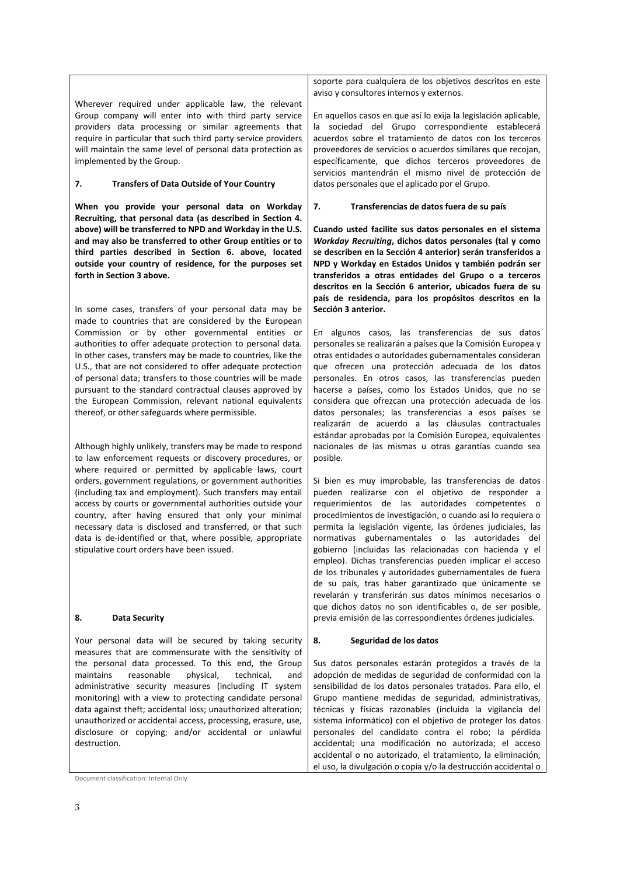Wherever required under applicable law, the relevant Group company will enter into with third party service providers data processing or similar agreements that require in particular that such third party service providers will maintain the same level of personal data protection as implemented by the Group.

#### **7. Transfers of Data Outside of Your Country**

**When you provide your personal data on Workday Recruiting, that personal data (as described in Section 4. above) will be transferred to NPD and Workday in the U.S. and may also be transferred to other Group entities or to third parties described in Section 6. above, located outside your country of residence, for the purposes set forth in Section 3 above.**

In some cases, transfers of your personal data may be made to countries that are considered by the European Commission or by other governmental entities or authorities to offer adequate protection to personal data. In other cases, transfers may be made to countries, like the U.S., that are not considered to offer adequate protection of personal data; transfers to those countries will be made pursuant to the standard contractual clauses approved by the European Commission, relevant national equivalents thereof, or other safeguards where permissible.

Although highly unlikely, transfers may be made to respond to law enforcement requests or discovery procedures, or where required or permitted by applicable laws, court orders, government regulations, or government authorities (including tax and employment). Such transfers may entail access by courts or governmental authorities outside your country, after having ensured that only your minimal necessary data is disclosed and transferred, or that such data is de-identified or that, where possible, appropriate stipulative court orders have been issued.

#### **8. Data Security**

Your personal data will be secured by taking security measures that are commensurate with the sensitivity of the personal data processed. To this end, the Group maintains reasonable physical, technical, and administrative security measures (including IT system monitoring) with a view to protecting candidate personal data against theft; accidental loss; unauthorized alteration; unauthorized or accidental access, processing, erasure, use, disclosure or copying; and/or accidental or unlawful destruction.

Document classification: Internal Only

soporte para cualquiera de los objetivos descritos en este aviso y consultores internos y externos.

En aquellos casos en que así lo exija la legislación aplicable, la sociedad del Grupo correspondiente establecerá acuerdos sobre el tratamiento de datos con los terceros proveedores de servicios o acuerdos similares que recojan, específicamente, que dichos terceros proveedores de servicios mantendrán el mismo nivel de protección de datos personales que el aplicado por el Grupo.

#### **7. Transferencias de datos fuera de su país**

**Cuando usted facilite sus datos personales en el sistema**  *Workday Recruiting***, dichos datos personales (tal y como se describen en la Sección 4 anterior) serán transferidos a NPD y Workday en Estados Unidos y también podrán ser transferidos a otras entidades del Grupo o a terceros descritos en la Sección 6 anterior, ubicados fuera de su país de residencia, para los propósitos descritos en la Sección 3 anterior.**

En algunos casos, las transferencias de sus datos personales se realizarán a países que la Comisión Europea y otras entidades o autoridades gubernamentales consideran que ofrecen una protección adecuada de los datos personales. En otros casos, las transferencias pueden hacerse a países, como los Estados Unidos, que no se considera que ofrezcan una protección adecuada de los datos personales; las transferencias a esos países se realizarán de acuerdo a las cláusulas contractuales estándar aprobadas por la Comisión Europea, equivalentes nacionales de las mismas u otras garantías cuando sea posible.

Si bien es muy improbable, las transferencias de datos pueden realizarse con el objetivo de responder a requerimientos de las autoridades competentes o procedimientos de investigación, o cuando así lo requiera o permita la legislación vigente, las órdenes judiciales, las normativas gubernamentales o las autoridades del gobierno (incluidas las relacionadas con hacienda y el empleo). Dichas transferencias pueden implicar el acceso de los tribunales y autoridades gubernamentales de fuera de su país, tras haber garantizado que únicamente se revelarán y transferirán sus datos mínimos necesarios o que dichos datos no son identificables o, de ser posible, previa emisión de las correspondientes órdenes judiciales.

#### **8. Seguridad de los datos**

Sus datos personales estarán protegidos a través de la adopción de medidas de seguridad de conformidad con la sensibilidad de los datos personales tratados. Para ello, el Grupo mantiene medidas de seguridad, administrativas, técnicas y físicas razonables (incluida la vigilancia del sistema informático) con el objetivo de proteger los datos personales del candidato contra el robo; la pérdida accidental; una modificación no autorizada; el acceso accidental o no autorizado, el tratamiento, la eliminación, el uso, la divulgación o copia y/o la destrucción accidental o